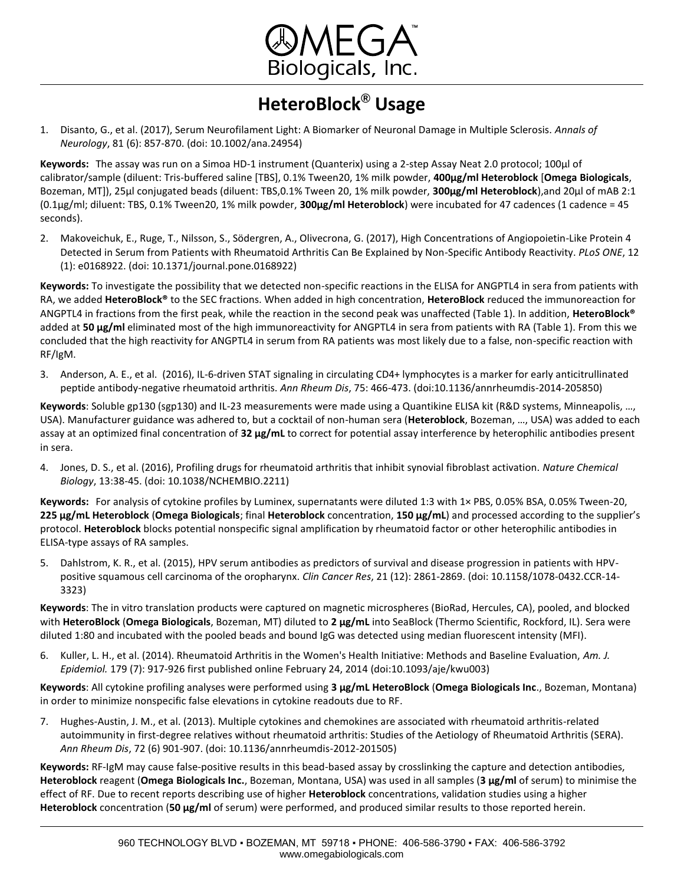

## **HeteroBlock® Usage**

1. Disanto, G., et al. (2017), Serum Neurofilament Light: A Biomarker of Neuronal Damage in Multiple Sclerosis. *Annals of Neurology*, 81 (6): 857-870. (doi: 10.1002/ana.24954)

**Keywords:** The assay was run on a Simoa HD-1 instrument (Quanterix) using a 2-step Assay Neat 2.0 protocol; 100µl of calibrator/sample (diluent: Tris-buffered saline [TBS], 0.1% Tween20, 1% milk powder, **400µg/ml Heteroblock** [**Omega Biologicals**, Bozeman, MT]), 25µl conjugated beads (diluent: TBS,0.1% Tween 20, 1% milk powder, **300µg/ml Heteroblock**),and 20µl of mAB 2:1 (0.1µg/ml; diluent: TBS, 0.1% Tween20, 1% milk powder, **300µg/ml Heteroblock**) were incubated for 47 cadences (1 cadence = 45 seconds).

2. Makoveichuk, E., Ruge, T., Nilsson, S., Södergren, A., Olivecrona, G. (2017), High Concentrations of Angiopoietin-Like Protein 4 Detected in Serum from Patients with Rheumatoid Arthritis Can Be Explained by Non-Specific Antibody Reactivity. *PLoS ONE*, 12 (1): e0168922. (doi: 10.1371/journal.pone.0168922)

**Keywords:** To investigate the possibility that we detected non-specific reactions in the ELISA for ANGPTL4 in sera from patients with RA, we added **HeteroBlock®** to the SEC fractions. When added in high concentration, **HeteroBlock** reduced the immunoreaction for ANGPTL4 in fractions from the first peak, while the reaction in the second peak was unaffected (Table 1). In addition, **HeteroBlock®** added at **50 μg/ml** eliminated most of the high immunoreactivity for ANGPTL4 in sera from patients with RA (Table 1). From this we concluded that the high reactivity for ANGPTL4 in serum from RA patients was most likely due to a false, non-specific reaction with RF/IgM.

3. Anderson, A. E., et al. (2016), IL-6-driven STAT signaling in circulating CD4+ lymphocytes is a marker for early anticitrullinated peptide antibody-negative rheumatoid arthritis. *Ann Rheum Dis*, 75: 466-473. (doi:10.1136/annrheumdis-2014-205850)

**Keywords**: Soluble gp130 (sgp130) and IL-23 measurements were made using a Quantikine ELISA kit (R&D systems, Minneapolis, …, USA). Manufacturer guidance was adhered to, but a cocktail of non-human sera (**Heteroblock**, Bozeman, …, USA) was added to each assay at an optimized final concentration of **32 μg/mL** to correct for potential assay interference by heterophilic antibodies present in sera.

4. Jones, D. S., et al. (2016), Profiling drugs for rheumatoid arthritis that inhibit synovial fibroblast activation. *Nature Chemical Biology*, 13:38-45. (doi: 10.1038/NCHEMBIO.2211)

**Keywords:** For analysis of cytokine profiles by Luminex, supernatants were diluted 1:3 with 1× PBS, 0.05% BSA, 0.05% Tween-20, **225 μg/mL Heteroblock** (**Omega Biologicals**; final **Heteroblock** concentration, **150 μg/mL**) and processed according to the supplier's protocol. **Heteroblock** blocks potential nonspecific signal amplification by rheumatoid factor or other heterophilic antibodies in ELISA-type assays of RA samples.

5. Dahlstrom, K. R., et al. (2015), HPV serum antibodies as predictors of survival and disease progression in patients with HPVpositive squamous cell carcinoma of the oropharynx. *Clin Cancer Res*, 21 (12): 2861-2869. (doi: 10.1158/1078-0432.CCR-14- 3323)

**Keywords**: The in vitro translation products were captured on magnetic microspheres (BioRad, Hercules, CA), pooled, and blocked with **HeteroBlock** (**Omega Biologicals**, Bozeman, MT) diluted to **2 μg/mL** into SeaBlock (Thermo Scientific, Rockford, IL). Sera were diluted 1:80 and incubated with the pooled beads and bound IgG was detected using median fluorescent intensity (MFI).

6. Kuller, L. H., et al. (2014). Rheumatoid Arthritis in the Women's Health Initiative: Methods and Baseline Evaluation, *Am. J. Epidemiol.* 179 (7): 917-926 first published online February 24, 2014 (doi:10.1093/aje/kwu003)

**Keywords**: All cytokine profiling analyses were performed using **3 μg/mL HeteroBlock** (**Omega Biologicals Inc**., Bozeman, Montana) in order to minimize nonspecific false elevations in cytokine readouts due to RF.

7. Hughes-Austin, J. M., et al. (2013). Multiple cytokines and chemokines are associated with rheumatoid arthritis-related autoimmunity in first-degree relatives without rheumatoid arthritis: Studies of the Aetiology of Rheumatoid Arthritis (SERA). *Ann Rheum Dis*, 72 (6) 901-907. (doi: 10.1136/annrheumdis-2012-201505)

**Keywords:** RF-IgM may cause false-positive results in this bead-based assay by crosslinking the capture and detection antibodies, **Heteroblock** reagent (**Omega Biologicals Inc.**, Bozeman, Montana, USA) was used in all samples (**3 μg/ml** of serum) to minimise the effect of RF. Due to recent reports describing use of higher **Heteroblock** concentrations, validation studies using a higher **Heteroblock** concentration (**50 μg/ml** of serum) were performed, and produced similar results to those reported herein.